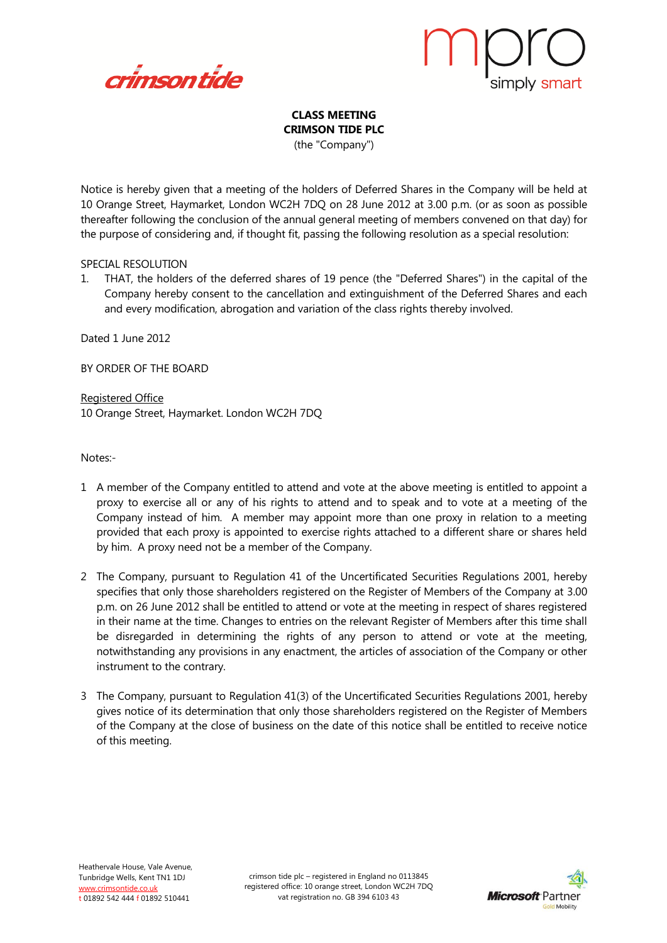



## **CLASS MEETING CRIMSON TIDE PLC** (the "Company")

Notice is hereby given that a meeting of the holders of Deferred Shares in the Company will be held at 10 Orange Street, Haymarket, London WC2H 7DQ on 28 June 2012 at 3.00 p.m. (or as soon as possible thereafter following the conclusion of the annual general meeting of members convened on that day) for the purpose of considering and, if thought fit, passing the following resolution as a special resolution:

## SPECIAL RESOLUTION

1. THAT, the holders of the deferred shares of 19 pence (the "Deferred Shares") in the capital of the Company hereby consent to the cancellation and extinguishment of the Deferred Shares and each and every modification, abrogation and variation of the class rights thereby involved.

Dated 1 June 2012

BY ORDER OF THE BOARD

Registered Office 10 Orange Street, Haymarket. London WC2H 7DQ

Notes:-

- 1 A member of the Company entitled to attend and vote at the above meeting is entitled to appoint a proxy to exercise all or any of his rights to attend and to speak and to vote at a meeting of the Company instead of him. A member may appoint more than one proxy in relation to a meeting provided that each proxy is appointed to exercise rights attached to a different share or shares held by him. A proxy need not be a member of the Company.
- 2 The Company, pursuant to Regulation 41 of the Uncertificated Securities Regulations 2001, hereby specifies that only those shareholders registered on the Register of Members of the Company at 3.00 p.m. on 26 June 2012 shall be entitled to attend or vote at the meeting in respect of shares registered in their name at the time. Changes to entries on the relevant Register of Members after this time shall be disregarded in determining the rights of any person to attend or vote at the meeting, notwithstanding any provisions in any enactment, the articles of association of the Company or other instrument to the contrary.
- 3 The Company, pursuant to Regulation 41(3) of the Uncertificated Securities Regulations 2001, hereby gives notice of its determination that only those shareholders registered on the Register of Members of the Company at the close of business on the date of this notice shall be entitled to receive notice of this meeting.